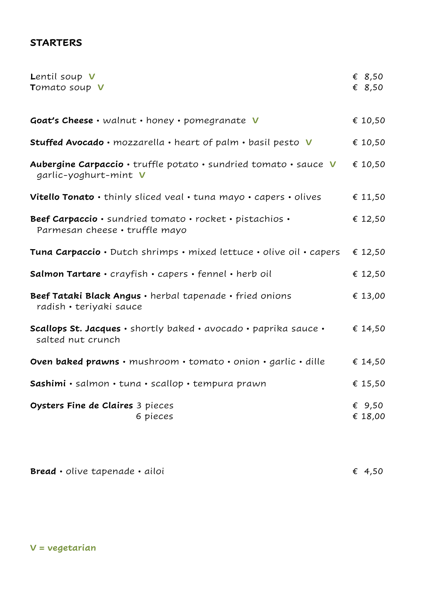## **STARTERS**

| Lentil soup V<br>Tomato soup V                                                             | $\epsilon$ 8,50<br>€ $8,50$ |
|--------------------------------------------------------------------------------------------|-----------------------------|
| Goat's Cheese · walnut · honey · pomegranate V                                             | € 10,50                     |
| Stuffed Avocado · mozzarella · heart of palm · basil pesto V                               | € 10,50                     |
| Aubergine Carpaccio · truffle potato · sundried tomato · sauce V<br>garlic-yoghurt-mint V  | € 10,50                     |
| Vitello Tonato · thinly sliced veal · tuna mayo · capers · olives                          | € 11,50                     |
| Beef Carpaccio · sundried tomato · rocket · pistachios ·<br>Parmesan cheese · truffle mayo | € 12,50                     |
| Tuna Carpaccio · Dutch shrimps · mixed lettuce · olive oil · capers                        | € 12,50                     |
| Salmon Tartare · crayfish · capers · fennel · herb oil                                     | € 12,50                     |
| Beef Tataki Black Angus · herbal tapenade · fried onions<br>radish • teriyaki sauce        | € 13,00                     |
| Scallops St. Jacques · shortly baked · avocado · paprika sauce ·<br>salted nut crunch      | € 14,50                     |
| Oven baked prawns · mushroom · tomato · onion · garlic · dille                             | € 14,50                     |
| Sashimi · salmon · tuna · scallop · tempura prawn                                          | € 15,50                     |
| Oysters Fine de Claires 3 pieces<br>6 pieces                                               | € 9,50<br>€ 18,00           |

| <b>Bread ·</b> olive tapenade · ailoi | € 4,50 |  |
|---------------------------------------|--------|--|
|                                       |        |  |

**V = vegetarian**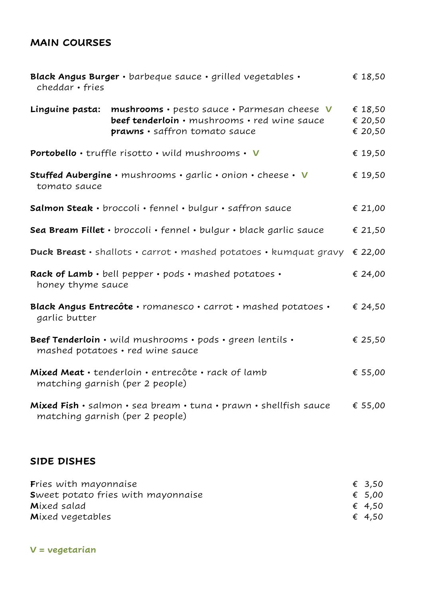## **MAIN COURSES**

| Black Angus Burger · barbeque sauce · grilled vegetables ·<br>cheddar • fries                                                                   | € 18,50                       |  |
|-------------------------------------------------------------------------------------------------------------------------------------------------|-------------------------------|--|
| Linguine pasta:<br>mushrooms · pesto sauce · Parmesan cheese V<br>beef tenderloin · mushrooms · red wine sauce<br>prawns · saffron tomato sauce | € 18,50<br>€ 20,50<br>€ 20,50 |  |
| Portobello · truffle risotto · wild mushrooms · V                                                                                               | € 19,50                       |  |
| Stuffed Aubergine · mushrooms · garlic · onion · cheese · V<br>tomato sauce                                                                     | € 19,50                       |  |
| Salmon Steak · broccoli · fennel · bulgur · saffron sauce                                                                                       | € 21,00                       |  |
| Sea Bream Fillet · broccoli · fennel · bulgur · black garlic sauce                                                                              | € 21,50                       |  |
| Duck Breast · shallots · carrot · mashed potatoes · kumquat gravy                                                                               | € 22,00                       |  |
| Rack of Lamb · bell pepper · pods · mashed potatoes ·<br>honey thyme sauce                                                                      | € 24,00                       |  |
| Black Angus Entrecôte · romanesco · carrot · mashed potatoes ·<br>garlic butter                                                                 | € 24,50                       |  |
| Beef Tenderloin · wild mushrooms · pods · green lentils ·<br>mashed potatoes · red wine sauce                                                   | € 25,50                       |  |
| Mixed Meat · tenderloin · entrecôte · rack of lamb<br>matching garnish (per 2 people)                                                           |                               |  |
| Mixed Fish · salmon · sea bream · tuna · prawn · shellfish sauce<br>matching garnish (per 2 people)                                             | € 55,00                       |  |

## **SIDE DISHES**

| Fries with mayonnaise                     | € 3,50 |
|-------------------------------------------|--------|
| <b>Sweet potato fries with mayonnaise</b> | € 5,00 |
| Mixed salad                               | € 4.50 |
| Mixed vegetables                          | € 4.50 |

**V = vegetarian**